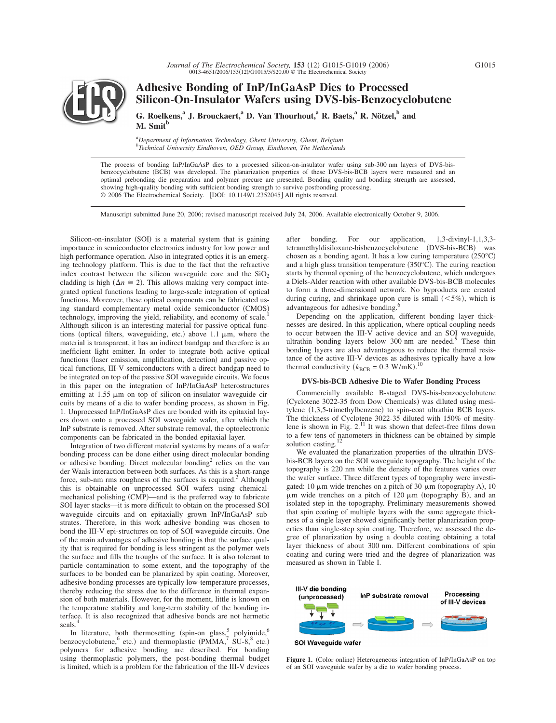

# **Adhesive Bonding of InP/InGaAsP Dies to Processed Silicon-On-Insulator Wafers using DVS-bis-Benzocyclobutene**

**G. Roelkens,**<sup>a</sup> J. Brouckaert,<sup>a</sup> D. Van Thourhout,<sup>a</sup> R. Baets,<sup>a</sup> R. Nötzel,<sup>b</sup> and **M. Smit<sup>b</sup>**

*a Department of Information Technology, Ghent University, Ghent, Belgium b Technical University Eindhoven, OED Group, Eindhoven, The Netherlands*

The process of bonding InP/InGaAsP dies to a processed silicon-on-insulator wafer using sub-300 nm layers of DVS-bisbenzocyclobutene (BCB) was developed. The planarization properties of these DVS-bis-BCB layers were measured and an optimal prebonding die preparation and polymer precure are presented. Bonding quality and bonding strength are assessed, showing high-quality bonding with sufficient bonding strength to survive postbonding processing. © 2006 The Electrochemical Society. [DOI: 10.1149/1.2352045] All rights reserved.

Manuscript submitted June 20, 2006; revised manuscript received July 24, 2006. Available electronically October 9, 2006.

Silicon-on-insulator (SOI) is a material system that is gaining importance in semiconductor electronics industry for low power and high performance operation. Also in integrated optics it is an emerging technology platform. This is due to the fact that the refractive index contrast between the silicon waveguide core and the  $SiO<sub>2</sub>$ cladding is high  $(\Delta n \cong 2)$ . This allows making very compact integrated optical functions leading to large-scale integration of optical functions. Moreover, these optical components can be fabricated using standard complementary metal oxide semiconductor (CMOS) technology, improving the yield, reliability, and economy of scale. Although silicon is an interesting material for passive optical functions (optical filters, waveguiding, etc.) above  $1.1 \mu m$ , where the material is transparent, it has an indirect bandgap and therefore is an inefficient light emitter. In order to integrate both active optical functions (laser emission, amplification, detection) and passive optical functions, III-V semiconductors with a direct bandgap need to be integrated on top of the passive SOI waveguide circuits. We focus in this paper on the integration of InP/InGaAsP heterostructures emitting at  $1.55 \mu m$  on top of silicon-on-insulator waveguide circuits by means of a die to wafer bonding process, as shown in Fig. 1. Unprocessed InP/InGaAsP dies are bonded with its epitaxial layers down onto a processed SOI waveguide wafer, after which the InP substrate is removed. After substrate removal, the optoelectronic components can be fabricated in the bonded epitaxial layer.

Integration of two different material systems by means of a wafer bonding process can be done either using direct molecular bonding or adhesive bonding. Direct molecular bonding<sup>2</sup> relies on the van der Waals interaction between both surfaces. As this is a short-range force, sub-nm rms roughness of the surfaces is required.<sup>3</sup> Although this is obtainable on unprocessed SOI wafers using chemicalmechanical polishing (CMP)—and is the preferred way to fabricate SOI layer stacks—it is more difficult to obtain on the processed SOI waveguide circuits and on epitaxially grown InP/InGaAsP substrates. Therefore, in this work adhesive bonding was chosen to bond the III-V epi-structures on top of SOI waveguide circuits. One of the main advantages of adhesive bonding is that the surface quality that is required for bonding is less stringent as the polymer wets the surface and fills the troughs of the surface. It is also tolerant to particle contamination to some extent, and the topography of the surfaces to be bonded can be planarized by spin coating. Moreover, adhesive bonding processes are typically low-temperature processes, thereby reducing the stress due to the difference in thermal expansion of both materials. However, for the moment, little is known on the temperature stability and long-term stability of the bonding interface. It is also recognized that adhesive bonds are not hermetic seals.

In literature, both thermosetting (spin-on glass, polyimide,  $6\%$ benzocyclobutene,  $6$  etc.) and thermoplastic (PMMA,  $7$  SU-8, $8$  etc.) polymers for adhesive bonding are described. For bonding using thermoplastic polymers, the post-bonding thermal budget is limited, which is a problem for the fabrication of the III-V devices

after bonding. For our application, 1,3-divinyl-1,1,3,3 tetramethyldisiloxane-bisbenzocyclobutene (DVS-bis-BCB) was chosen as a bonding agent. It has a low curing temperature  $(250^{\circ}C)$ and a high glass transition temperature  $(350^{\circ}$ C). The curing reaction starts by thermal opening of the benzocyclobutene, which undergoes a Diels-Alder reaction with other available DVS-bis-BCB molecules to form a three-dimensional network. No byproducts are created during curing, and shrinkage upon cure is small  $(<5\%)$ , which is advantageous for adhesive bonding.6

Depending on the application, different bonding layer thicknesses are desired. In this application, where optical coupling needs to occur between the III-V active device and an SOI waveguide, ultrathin bonding layers below 300 nm are needed.<sup>9</sup> These thin bonding layers are also advantageous to reduce the thermal resistance of the active III-V devices as adhesives typically have a low thermal conductivity  $(k_{\text{BCB}} = 0.3 \text{ W/mK})$ .<sup>10</sup>

### **DVS-bis-BCB Adhesive Die to Wafer Bonding Process**

Commercially available B-staged DVS-bis-benzocyclobutene (Cyclotene 3022-35 from Dow Chemicals) was diluted using mesitylene (1,3,5-trimethylbenzene) to spin-coat ultrathin BCB layers. The thickness of Cyclotene 3022-35 diluted with 150% of mesitylene is shown in Fig. 2.11 It was shown that defect-free films down to a few tens of nanometers in thickness can be obtained by simple solution casting.

We evaluated the planarization properties of the ultrathin DVSbis-BCB layers on the SOI waveguide topography. The height of the topography is 220 nm while the density of the features varies over the wafer surface. Three different types of topography were investigated: 10  $\mu$ m wide trenches on a pitch of 30  $\mu$ m (topography A), 10  $\mu$ m wide trenches on a pitch of 120  $\mu$ m (topography B), and an isolated step in the topography. Preliminary measurements showed that spin coating of multiple layers with the same aggregate thickness of a single layer showed significantly better planarization properties than single-step spin coating. Therefore, we assessed the degree of planarization by using a double coating obtaining a total layer thickness of about 300 nm. Different combinations of spin coating and curing were tried and the degree of planarization was measured as shown in Table I.



Figure 1. (Color online) Heterogeneous integration of InP/InGaAsP on top of an SOI waveguide wafer by a die to wafer bonding process.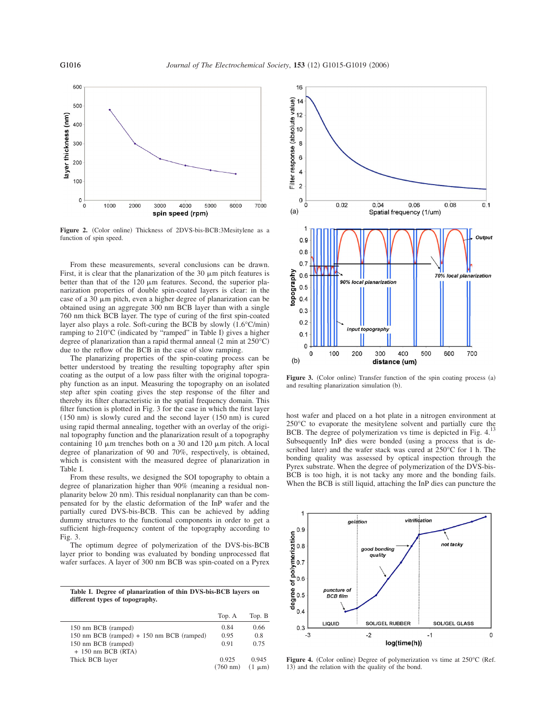

Figure 2. (Color online) Thickness of 2DVS-bis-BCB:3Mesitylene as a function of spin speed.

From these measurements, several conclusions can be drawn. First, it is clear that the planarization of the  $30 \mu m$  pitch features is better than that of the  $120 \mu m$  features. Second, the superior planarization properties of double spin-coated layers is clear: in the case of a 30  $\mu$ m pitch, even a higher degree of planarization can be obtained using an aggregate 300 nm BCB layer than with a single 760 nm thick BCB layer. The type of curing of the first spin-coated layer also plays a role. Soft-curing the BCB by slowly  $(1.6^{\circ}C/\text{min})$ ramping to 210°C (indicated by "ramped" in Table I) gives a higher degree of planarization than a rapid thermal anneal  $(2 \text{ min at } 250^{\circ} \text{C})$ due to the reflow of the BCB in the case of slow ramping.

The planarizing properties of the spin-coating process can be better understood by treating the resulting topography after spin coating as the output of a low pass filter with the original topography function as an input. Measuring the topography on an isolated step after spin coating gives the step response of the filter and thereby its filter characteristic in the spatial frequency domain. This filter function is plotted in Fig. 3 for the case in which the first layer  $(150 \text{ nm})$  is slowly cured and the second layer  $(150 \text{ nm})$  is cured using rapid thermal annealing, together with an overlay of the original topography function and the planarization result of a topography containing 10  $\mu$ m trenches both on a 30 and 120  $\mu$ m pitch. A local degree of planarization of 90 and 70%, respectively, is obtained, which is consistent with the measured degree of planarization in Table I.

From these results, we designed the SOI topography to obtain a degree of planarization higher than 90% (meaning a residual nonplanarity below 20 nm). This residual nonplanarity can than be compensated for by the elastic deformation of the InP wafer and the partially cured DVS-bis-BCB. This can be achieved by adding dummy structures to the functional components in order to get a sufficient high-frequency content of the topography according to Fig. 3.

The optimum degree of polymerization of the DVS-bis-BCB layer prior to bonding was evaluated by bonding unprocessed flat wafer surfaces. A layer of 300 nm BCB was spin-coated on a Pyrex

**Table I. Degree of planarization of thin DVS-bis-BCB layers on different types of topography.**

|                                           | Top. A             | Top. B      |
|-------------------------------------------|--------------------|-------------|
| 150 nm BCB (ramped)                       | 0.84               | 0.66        |
| 150 nm BCB (ramped) + 150 nm BCB (ramped) | 0.95               | 0.8         |
| 150 nm BCB (ramped)                       | 0.91               | 0.75        |
| $+ 150$ nm BCB (RTA)                      |                    |             |
| Thick BCB layer                           | 0.925              | 0.945       |
|                                           | $(760 \text{ nm})$ | $(1 \mu m)$ |



Figure 3. (Color online) Transfer function of the spin coating process (a) and resulting planarization simulation (b).

host wafer and placed on a hot plate in a nitrogen environment at 250°C to evaporate the mesitylene solvent and partially cure the BCB. The degree of polymerization vs time is depicted in Fig. 4.13 Subsequently InP dies were bonded (using a process that is described later) and the wafer stack was cured at  $250^{\circ}$ C for 1 h. The bonding quality was assessed by optical inspection through the Pyrex substrate. When the degree of polymerization of the DVS-bis-BCB is too high, it is not tacky any more and the bonding fails. When the BCB is still liquid, attaching the InP dies can puncture the



Figure 4. (Color online) Degree of polymerization vs time at 250°C (Ref. 13) and the relation with the quality of the bond.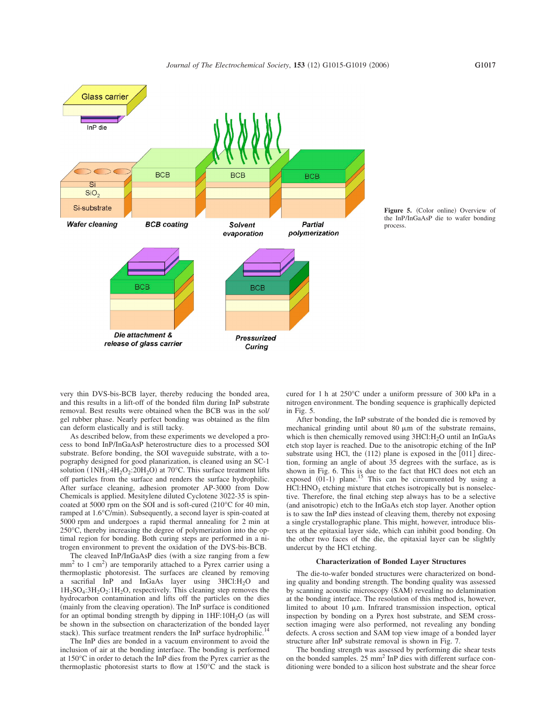



very thin DVS-bis-BCB layer, thereby reducing the bonded area, and this results in a lift-off of the bonded film during InP substrate removal. Best results were obtained when the BCB was in the sol/ gel rubber phase. Nearly perfect bonding was obtained as the film can deform elastically and is still tacky.

As described below, from these experiments we developed a process to bond InP/InGaAsP heterostructure dies to a processed SOI substrate. Before bonding, the SOI waveguide substrate, with a topography designed for good planarization, is cleaned using an SC-1 solution  $(1NH_3:4H_2O_2:20H_2O)$  at 70°C. This surface treatment lifts off particles from the surface and renders the surface hydrophilic. After surface cleaning, adhesion promoter AP-3000 from Dow Chemicals is applied. Mesitylene diluted Cyclotene 3022-35 is spincoated at 5000 rpm on the SOI and is soft-cured (210°C for 40 min, ramped at 1.6°C/min). Subsequently, a second layer is spin-coated at 5000 rpm and undergoes a rapid thermal annealing for 2 min at 250°C, thereby increasing the degree of polymerization into the optimal region for bonding. Both curing steps are performed in a nitrogen environment to prevent the oxidation of the DVS-bis-BCB.

The cleaved InP/InGaAsP dies (with a size ranging from a few  $mm<sup>2</sup>$  to 1 cm<sup>2</sup>) are temporarily attached to a Pyrex carrier using a thermoplastic photoresist. The surfaces are cleaned by removing a sacrifial InP and InGaAs layer using 3HCl:H<sub>2</sub>O and  $1H_2SO_4:3H_2O_2:1H_2O$ , respectively. This cleaning step removes the hydrocarbon contamination and lifts off the particles on the dies (mainly from the cleaving operation). The InP surface is conditioned for an optimal bonding strength by dipping in  $1HF:10H<sub>2</sub>O$  (as will be shown in the subsection on characterization of the bonded layer stack). This surface treatment renders the InP surface hydrophilic.<sup>14</sup>

The InP dies are bonded in a vacuum environment to avoid the inclusion of air at the bonding interface. The bonding is performed at 150°C in order to detach the InP dies from the Pyrex carrier as the thermoplastic photoresist starts to flow at 150°C and the stack is

cured for 1 h at 250°C under a uniform pressure of 300 kPa in a nitrogen environment. The bonding sequence is graphically depicted in Fig. 5.

After bonding, the InP substrate of the bonded die is removed by mechanical grinding until about  $80 \mu m$  of the substrate remains, which is then chemically removed using  $3HCl:H<sub>2</sub>O$  until an InGaAs etch stop layer is reached. Due to the anisotropic etching of the InP substrate using HCl, the  $(112)$  plane is exposed in the  $[011]$  direction, forming an angle of about 35 degrees with the surface, as is shown in Fig. 6. This is due to the fact that HCl does not etch an exposed  $(01-1)$  plane.<sup>15</sup> This can be circumvented by using a  $HCI: HNO<sub>3</sub>$  etching mixture that etches isotropically but is nonselective. Therefore, the final etching step always has to be a selective (and anisotropic) etch to the InGaAs etch stop layer. Another option is to saw the InP dies instead of cleaving them, thereby not exposing a single crystallographic plane. This might, however, introduce blisters at the epitaxial layer side, which can inhibit good bonding. On the other two faces of the die, the epitaxial layer can be slightly undercut by the HCl etching.

## **Characterization of Bonded Layer Structures**

The die-to-wafer bonded structures were characterized on bonding quality and bonding strength. The bonding quality was assessed by scanning acoustic microscopy (SAM) revealing no delamination at the bonding interface. The resolution of this method is, however, limited to about 10  $\mu$ m. Infrared transmission inspection, optical inspection by bonding on a Pyrex host substrate, and SEM crosssection imaging were also performed, not revealing any bonding defects. A cross section and SAM top view image of a bonded layer structure after InP substrate removal is shown in Fig. 7.

The bonding strength was assessed by performing die shear tests on the bonded samples. 25 mm2 InP dies with different surface conditioning were bonded to a silicon host substrate and the shear force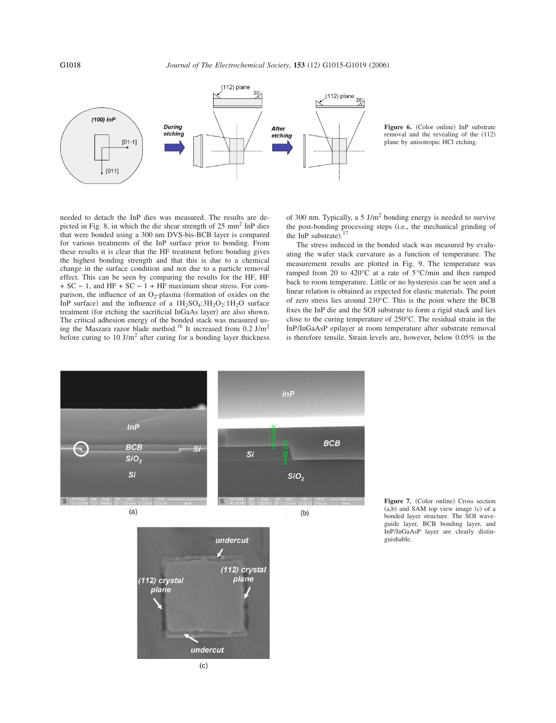**G1018** *Journal of The Electrochemical Society*, **153** (12) G1015-G1019 (2006)



Figure 6. (Color online) InP substrate removal and the revealing of the (112) plane by anisotropic HCl etching.

needed to detach the InP dies was measured. The results are depicted in Fig. 8, in which the die shear strength of  $25 \text{ mm}^2$  InP dies that were bonded using a 300 nm DVS-bis-BCB layer is compared for various treatments of the InP surface prior to bonding. From these results it is clear that the HF treatment before bonding gives the highest bonding strength and that this is due to a chemical change in the surface condition and not due to a particle removal effect. This can be seen by comparing the results for the HF, HF + SC − 1, and HF + SC − 1 + HF maximum shear stress. For comparison, the influence of an  $O_2$ -plasma (formation of oxides on the InP surface) and the influence of a  $1H_2SO_4:3H_2O_2:1H_2O$  surface treatment (for etching the sacrificial InGaAs layer) are also shown. The critical adhesion energy of the bonded stack was measured using the Maszara razor blade method.<sup>16</sup> It increased from 0.2 J/m<sup>2</sup> before curing to 10 J/m<sup>2</sup> after curing for a bonding layer thickness

of 300 nm. Typically, a 5 J/m<sup>2</sup> bonding energy is needed to survive the post-bonding processing steps (i.e., the mechanical grinding of the InP substrate). $17$ 

The stress induced in the bonded stack was measured by evaluating the wafer stack curvature as a function of temperature. The measurement results are plotted in Fig. 9. The temperature was ramped from 20 to 420°C at a rate of 5°C/min and then ramped back to room temperature. Little or no hysteresis can be seen and a linear relation is obtained as expected for elastic materials. The point of zero stress lies around 230°C. This is the point where the BCB fixes the InP die and the SOI substrate to form a rigid stack and lies close to the curing temperature of 250°C. The residual strain in the InP/InGaAsP epilayer at room temperature after substrate removal is therefore tensile. Strain levels are, however, below 0.05% in the



Figure 7. (Color online) Cross section  $(a,b)$  and SAM top view image  $(c)$  of a bonded layer structure. The SOI waveguide layer, BCB bonding layer, and InP/InGaAsP layer are clearly distinguishable.